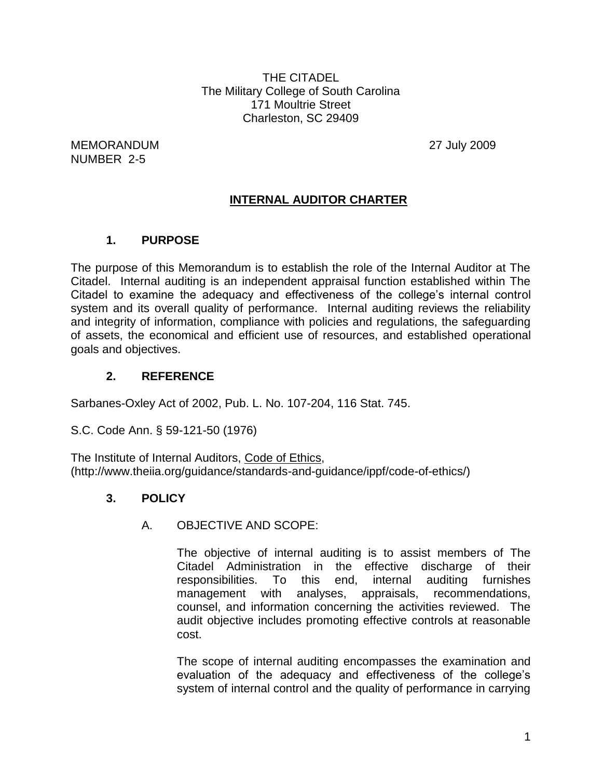THE CITADEL The Military College of South Carolina 171 Moultrie Street Charleston, SC 29409

MEMORANDUM 27 July 2009 NUMBER 2-5

## **INTERNAL AUDITOR CHARTER**

## **1. PURPOSE**

The purpose of this Memorandum is to establish the role of the Internal Auditor at The Citadel. Internal auditing is an independent appraisal function established within The Citadel to examine the adequacy and effectiveness of the college's internal control system and its overall quality of performance. Internal auditing reviews the reliability and integrity of information, compliance with policies and regulations, the safeguarding of assets, the economical and efficient use of resources, and established operational goals and objectives.

### **2. REFERENCE**

Sarbanes-Oxley Act of 2002, Pub. L. No. 107-204, 116 Stat. 745.

S.C. Code Ann. § 59-121-50 (1976)

The Institute of Internal Auditors, Code of Ethics, (http://www.theiia.org/guidance/standards-and-guidance/ippf/code-of-ethics/)

### **3. POLICY**

### A. OBJECTIVE AND SCOPE:

The objective of internal auditing is to assist members of The Citadel Administration in the effective discharge of their responsibilities. To this end, internal auditing furnishes management with analyses, appraisals, recommendations, counsel, and information concerning the activities reviewed. The audit objective includes promoting effective controls at reasonable cost.

The scope of internal auditing encompasses the examination and evaluation of the adequacy and effectiveness of the college's system of internal control and the quality of performance in carrying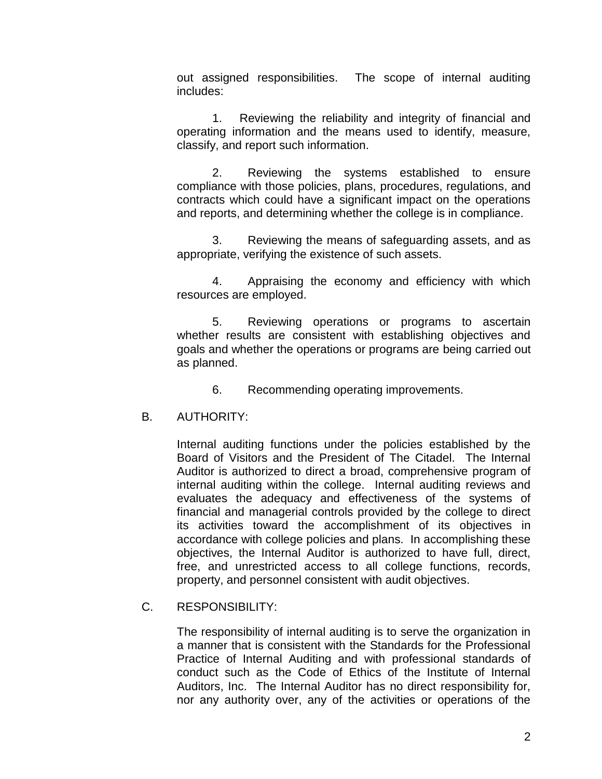out assigned responsibilities. The scope of internal auditing includes:

1. Reviewing the reliability and integrity of financial and operating information and the means used to identify, measure, classify, and report such information.

2. Reviewing the systems established to ensure compliance with those policies, plans, procedures, regulations, and contracts which could have a significant impact on the operations and reports, and determining whether the college is in compliance.

3. Reviewing the means of safeguarding assets, and as appropriate, verifying the existence of such assets.

4. Appraising the economy and efficiency with which resources are employed.

5. Reviewing operations or programs to ascertain whether results are consistent with establishing objectives and goals and whether the operations or programs are being carried out as planned.

6. Recommending operating improvements.

#### B. AUTHORITY:

Internal auditing functions under the policies established by the Board of Visitors and the President of The Citadel. The Internal Auditor is authorized to direct a broad, comprehensive program of internal auditing within the college. Internal auditing reviews and evaluates the adequacy and effectiveness of the systems of financial and managerial controls provided by the college to direct its activities toward the accomplishment of its objectives in accordance with college policies and plans. In accomplishing these objectives, the Internal Auditor is authorized to have full, direct, free, and unrestricted access to all college functions, records, property, and personnel consistent with audit objectives.

C. RESPONSIBILITY:

The responsibility of internal auditing is to serve the organization in a manner that is consistent with the Standards for the Professional Practice of Internal Auditing and with professional standards of conduct such as the Code of Ethics of the Institute of Internal Auditors, Inc. The Internal Auditor has no direct responsibility for, nor any authority over, any of the activities or operations of the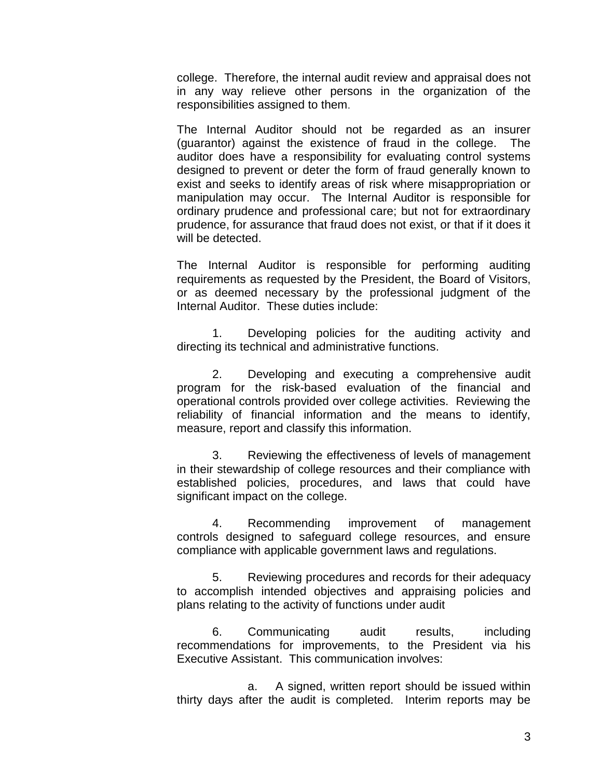college. Therefore, the internal audit review and appraisal does not in any way relieve other persons in the organization of the responsibilities assigned to them.

The Internal Auditor should not be regarded as an insurer (guarantor) against the existence of fraud in the college. The auditor does have a responsibility for evaluating control systems designed to prevent or deter the form of fraud generally known to exist and seeks to identify areas of risk where misappropriation or manipulation may occur. The Internal Auditor is responsible for ordinary prudence and professional care; but not for extraordinary prudence, for assurance that fraud does not exist, or that if it does it will be detected.

The Internal Auditor is responsible for performing auditing requirements as requested by the President, the Board of Visitors, or as deemed necessary by the professional judgment of the Internal Auditor. These duties include:

1. Developing policies for the auditing activity and directing its technical and administrative functions.

2. Developing and executing a comprehensive audit program for the risk-based evaluation of the financial and operational controls provided over college activities. Reviewing the reliability of financial information and the means to identify, measure, report and classify this information.

3. Reviewing the effectiveness of levels of management in their stewardship of college resources and their compliance with established policies, procedures, and laws that could have significant impact on the college.

4. Recommending improvement of management controls designed to safeguard college resources, and ensure compliance with applicable government laws and regulations.

5. Reviewing procedures and records for their adequacy to accomplish intended objectives and appraising policies and plans relating to the activity of functions under audit

6. Communicating audit results, including recommendations for improvements, to the President via his Executive Assistant. This communication involves:

a. A signed, written report should be issued within thirty days after the audit is completed. Interim reports may be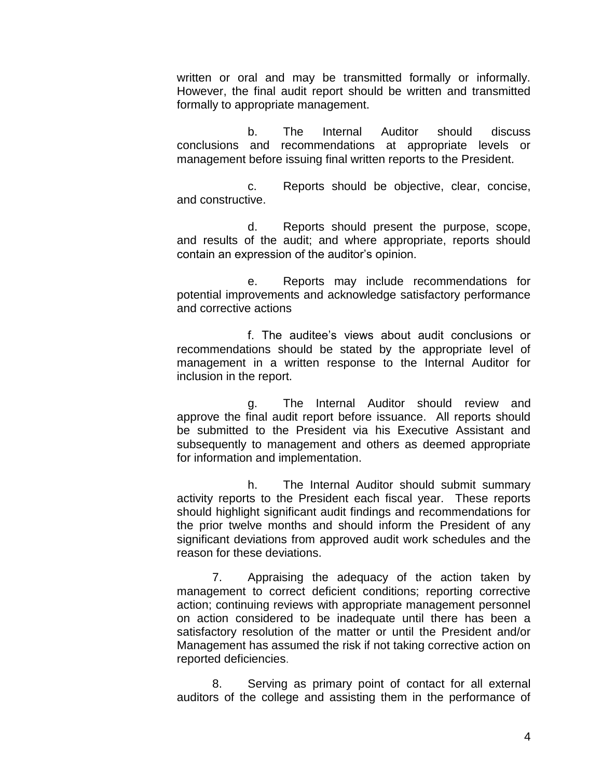written or oral and may be transmitted formally or informally. However, the final audit report should be written and transmitted formally to appropriate management.

b. The Internal Auditor should discuss conclusions and recommendations at appropriate levels or management before issuing final written reports to the President.

c. Reports should be objective, clear, concise, and constructive.

d. Reports should present the purpose, scope, and results of the audit; and where appropriate, reports should contain an expression of the auditor's opinion.

e. Reports may include recommendations for potential improvements and acknowledge satisfactory performance and corrective actions

f. The auditee's views about audit conclusions or recommendations should be stated by the appropriate level of management in a written response to the Internal Auditor for inclusion in the report.

g. The Internal Auditor should review and approve the final audit report before issuance. All reports should be submitted to the President via his Executive Assistant and subsequently to management and others as deemed appropriate for information and implementation.

h. The Internal Auditor should submit summary activity reports to the President each fiscal year. These reports should highlight significant audit findings and recommendations for the prior twelve months and should inform the President of any significant deviations from approved audit work schedules and the reason for these deviations.

7. Appraising the adequacy of the action taken by management to correct deficient conditions; reporting corrective action; continuing reviews with appropriate management personnel on action considered to be inadequate until there has been a satisfactory resolution of the matter or until the President and/or Management has assumed the risk if not taking corrective action on reported deficiencies.

8. Serving as primary point of contact for all external auditors of the college and assisting them in the performance of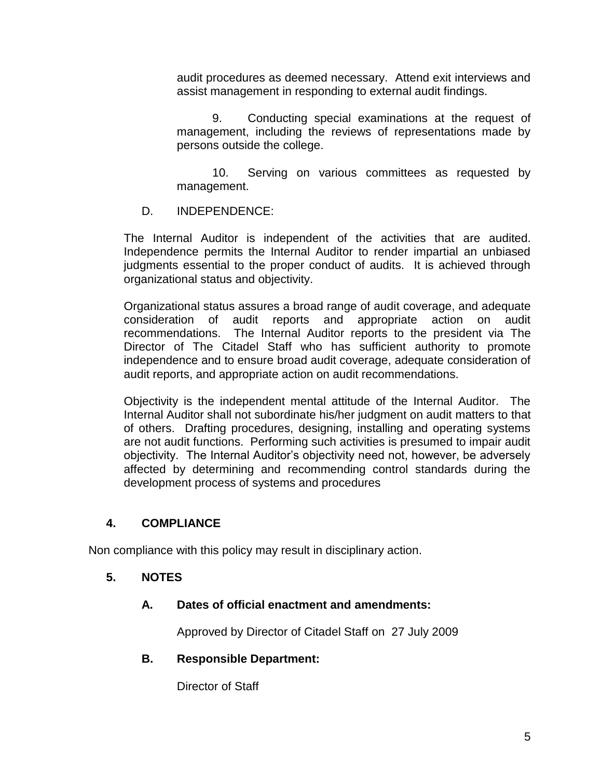audit procedures as deemed necessary. Attend exit interviews and assist management in responding to external audit findings.

9. Conducting special examinations at the request of management, including the reviews of representations made by persons outside the college.

10. Serving on various committees as requested by management.

D. INDEPENDENCE:

The Internal Auditor is independent of the activities that are audited. Independence permits the Internal Auditor to render impartial an unbiased judgments essential to the proper conduct of audits. It is achieved through organizational status and objectivity.

Organizational status assures a broad range of audit coverage, and adequate consideration of audit reports and appropriate action on audit recommendations. The Internal Auditor reports to the president via The Director of The Citadel Staff who has sufficient authority to promote independence and to ensure broad audit coverage, adequate consideration of audit reports, and appropriate action on audit recommendations.

Objectivity is the independent mental attitude of the Internal Auditor. The Internal Auditor shall not subordinate his/her judgment on audit matters to that of others. Drafting procedures, designing, installing and operating systems are not audit functions. Performing such activities is presumed to impair audit objectivity. The Internal Auditor's objectivity need not, however, be adversely affected by determining and recommending control standards during the development process of systems and procedures

### **4. COMPLIANCE**

Non compliance with this policy may result in disciplinary action.

#### **5. NOTES**

#### **A. Dates of official enactment and amendments:**

Approved by Director of Citadel Staff on 27 July 2009

#### **B. Responsible Department:**

Director of Staff